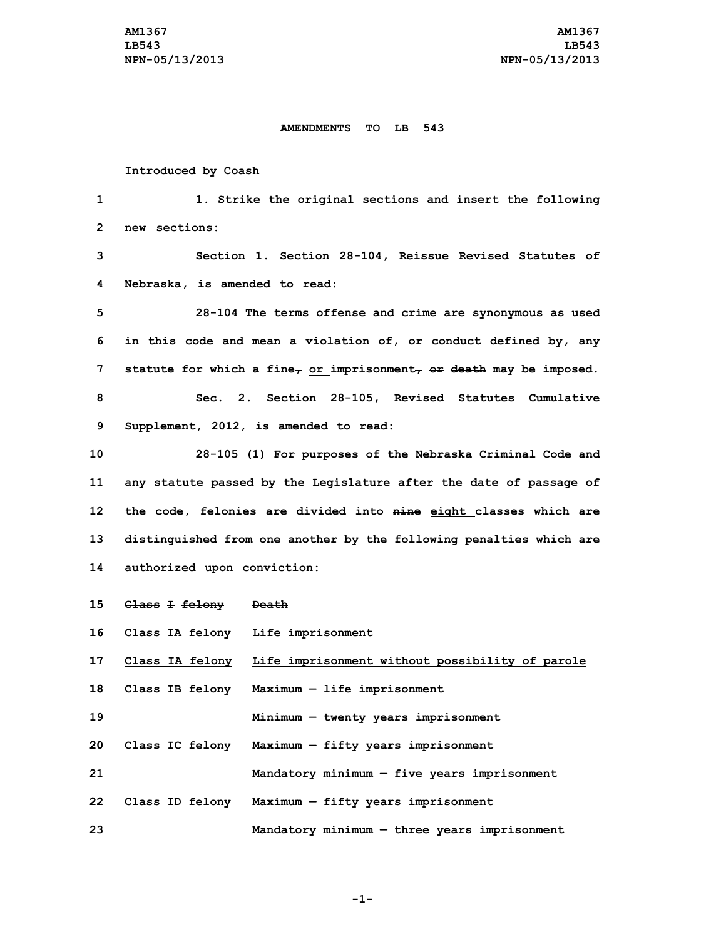## **AMENDMENTS TO LB 543**

## **Introduced by Coash**

 **1. Strike the original sections and insert the following new sections: Section 1. Section 28-104, Reissue Revised Statutes of Nebraska, is amended to read: 28-104 The terms offense and crime are synonymous as used in this code and mean <sup>a</sup> violation of, or conduct defined by, any statute for which <sup>a</sup> fine, or imprisonment, or death may be imposed. Sec. 2. Section 28-105, Revised Statutes Cumulative Supplement, 2012, is amended to read: 28-105 (1) For purposes of the Nebraska Criminal Code and any statute passed by the Legislature after the date of passage of the code, felonies are divided into nine eight classes which are distinguished from one another by the following penalties which are authorized upon conviction: Class <sup>I</sup> felony Death Class IA felony Life imprisonment Class IA felony Life imprisonment without possibility of parole Class IB felony Maximum — life imprisonment Minimum — twenty years imprisonment Class IC felony Maximum — fifty years imprisonment Mandatory minimum — five years imprisonment Class ID felony Maximum — fifty years imprisonment Mandatory minimum — three years imprisonment**

**-1-**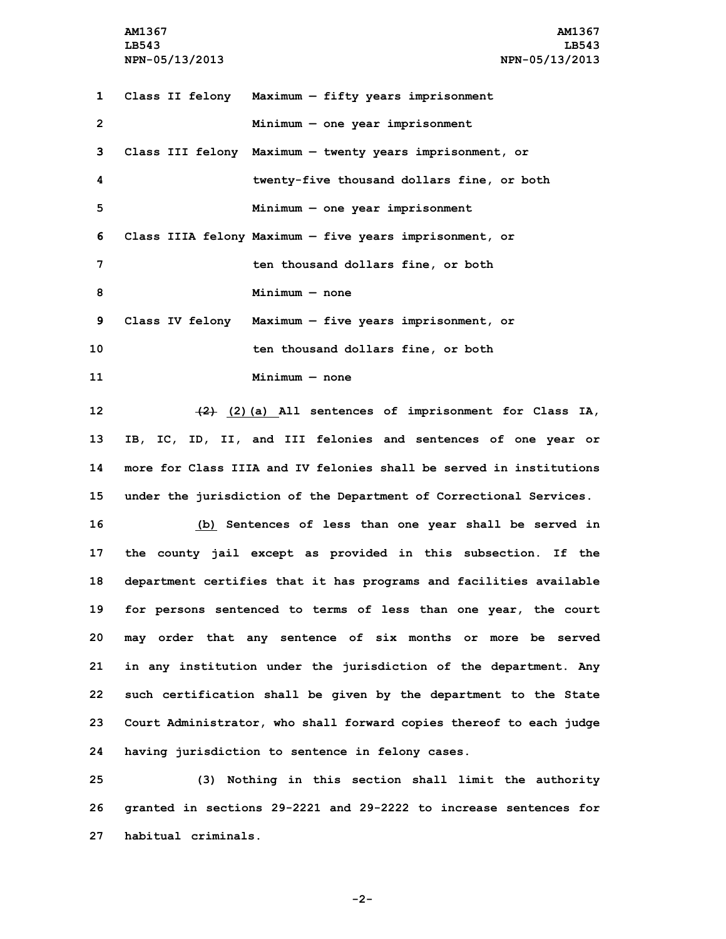**AM1367 AM1367 LB543 LB543 NPN-05/13/2013 NPN-05/13/2013**

 **Class II felony Maximum — fifty years imprisonment Minimum — one year imprisonment Class III felony Maximum — twenty years imprisonment, or twenty-five thousand dollars fine, or both Minimum — one year imprisonment Class IIIA felony Maximum — five years imprisonment, or ten thousand dollars fine, or both Minimum — none Class IV felony Maximum — five years imprisonment, or ten thousand dollars fine, or both Minimum — none (2) (2)(a) All sentences of imprisonment for Class IA, IB, IC, ID, II, and III felonies and sentences of one year or more for Class IIIA and IV felonies shall be served in institutions under the jurisdiction of the Department of Correctional Services. (b) Sentences of less than one year shall be served in the county jail except as provided in this subsection. If the department certifies that it has programs and facilities available for persons sentenced to terms of less than one year, the court may order that any sentence of six months or more be served in any institution under the jurisdiction of the department. Any such certification shall be given by the department to the State Court Administrator, who shall forward copies thereof to each judge having jurisdiction to sentence in felony cases. (3) Nothing in this section shall limit the authority**

**26 granted in sections 29-2221 and 29-2222 to increase sentences for 27 habitual criminals.**

**-2-**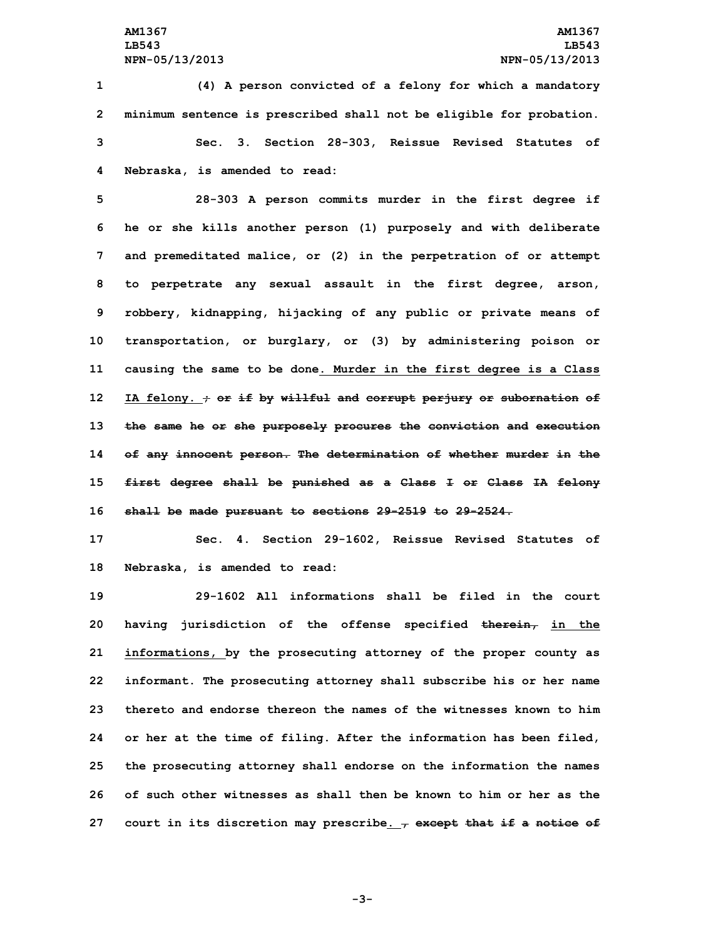**(4) <sup>A</sup> person convicted of <sup>a</sup> felony for which <sup>a</sup> mandatory minimum sentence is prescribed shall not be eligible for probation. Sec. 3. Section 28-303, Reissue Revised Statutes of Nebraska, is amended to read:**

 **28-303 <sup>A</sup> person commits murder in the first degree if he or she kills another person (1) purposely and with deliberate and premeditated malice, or (2) in the perpetration of or attempt to perpetrate any sexual assault in the first degree, arson, robbery, kidnapping, hijacking of any public or private means of transportation, or burglary, or (3) by administering poison or causing the same to be done. Murder in the first degree is <sup>a</sup> Class IA felony. ; or if by willful and corrupt perjury or subornation of the same he or she purposely procures the conviction and execution of any innocent person. The determination of whether murder in the first degree shall be punished as <sup>a</sup> Class <sup>I</sup> or Class IA felony shall be made pursuant to sections 29-2519 to 29-2524.**

**17 Sec. 4. Section 29-1602, Reissue Revised Statutes of 18 Nebraska, is amended to read:**

 **29-1602 All informations shall be filed in the court having jurisdiction of the offense specified therein, in the informations, by the prosecuting attorney of the proper county as informant. The prosecuting attorney shall subscribe his or her name thereto and endorse thereon the names of the witnesses known to him or her at the time of filing. After the information has been filed, the prosecuting attorney shall endorse on the information the names of such other witnesses as shall then be known to him or her as the court in its discretion may prescribe. , except that if <sup>a</sup> notice of**

**-3-**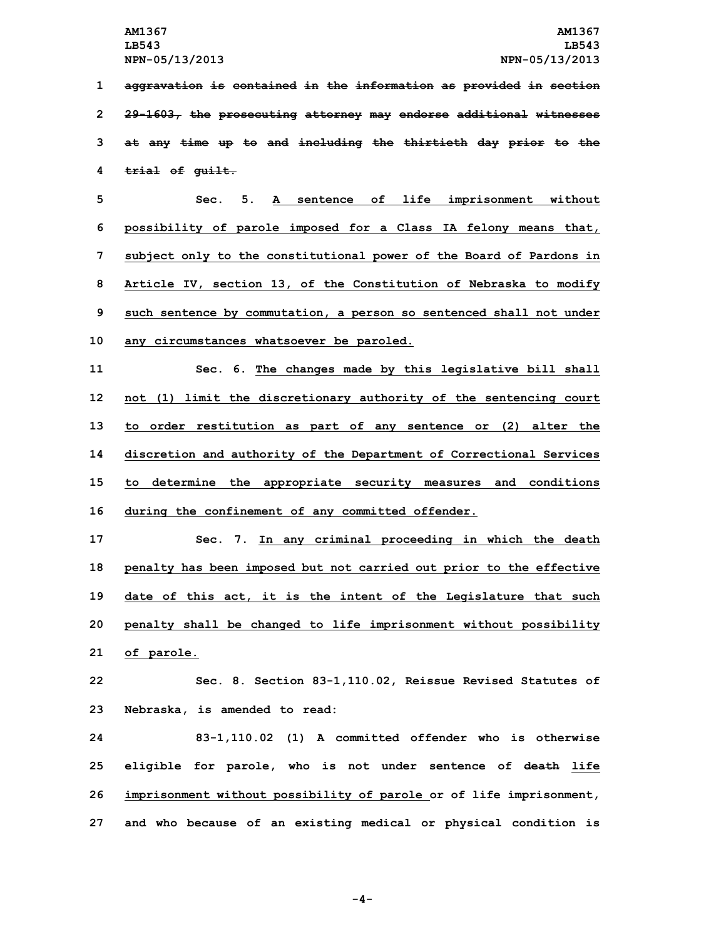**aggravation is contained in the information as provided in section 29-1603, the prosecuting attorney may endorse additional witnesses at any time up to and including the thirtieth day prior to the trial of guilt.**

 **Sec. 5. A sentence of life imprisonment without possibility of parole imposed for <sup>a</sup> Class IA felony means that, subject only to the constitutional power of the Board of Pardons in Article IV, section 13, of the Constitution of Nebraska to modify such sentence by commutation, <sup>a</sup> person so sentenced shall not under any circumstances whatsoever be paroled.**

 **Sec. 6. The changes made by this legislative bill shall not (1) limit the discretionary authority of the sentencing court to order restitution as part of any sentence or (2) alter the discretion and authority of the Department of Correctional Services to determine the appropriate security measures and conditions during the confinement of any committed offender.**

 **Sec. 7. In any criminal proceeding in which the death penalty has been imposed but not carried out prior to the effective date of this act, it is the intent of the Legislature that such penalty shall be changed to life imprisonment without possibility of parole.**

**22 Sec. 8. Section 83-1,110.02, Reissue Revised Statutes of 23 Nebraska, is amended to read:**

 **83-1,110.02 (1) A committed offender who is otherwise eligible for parole, who is not under sentence of death life imprisonment without possibility of parole or of life imprisonment, and who because of an existing medical or physical condition is**

**-4-**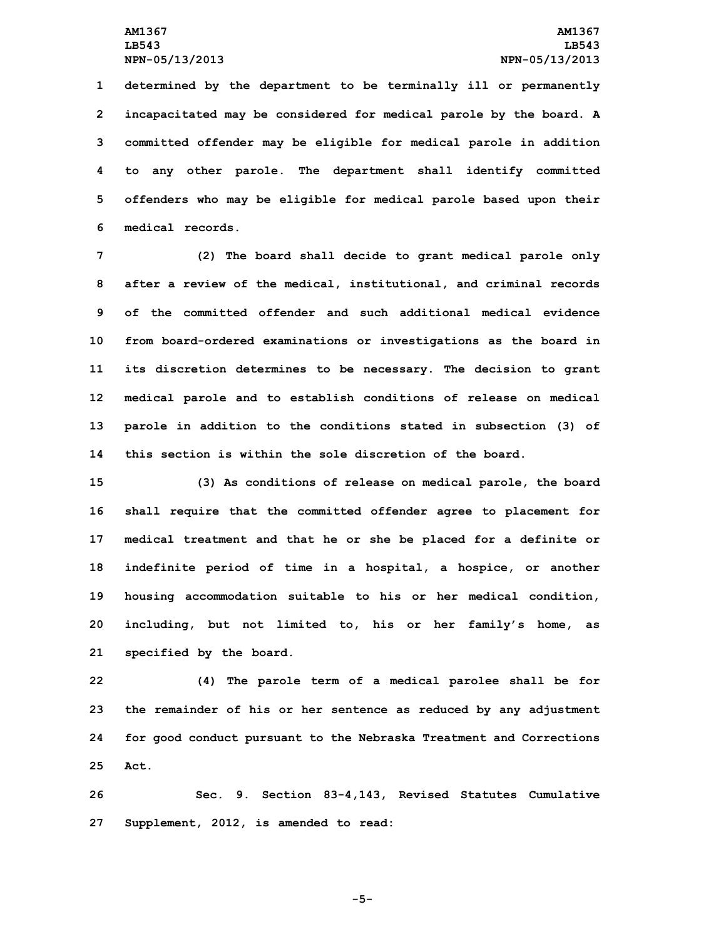**determined by the department to be terminally ill or permanently incapacitated may be considered for medical parole by the board. <sup>A</sup> committed offender may be eligible for medical parole in addition to any other parole. The department shall identify committed offenders who may be eligible for medical parole based upon their medical records.**

 **(2) The board shall decide to grant medical parole only after <sup>a</sup> review of the medical, institutional, and criminal records of the committed offender and such additional medical evidence from board-ordered examinations or investigations as the board in its discretion determines to be necessary. The decision to grant medical parole and to establish conditions of release on medical parole in addition to the conditions stated in subsection (3) of this section is within the sole discretion of the board.**

 **(3) As conditions of release on medical parole, the board shall require that the committed offender agree to placement for medical treatment and that he or she be placed for <sup>a</sup> definite or indefinite period of time in <sup>a</sup> hospital, <sup>a</sup> hospice, or another housing accommodation suitable to his or her medical condition, including, but not limited to, his or her family's home, as specified by the board.**

 **(4) The parole term of <sup>a</sup> medical parolee shall be for the remainder of his or her sentence as reduced by any adjustment for good conduct pursuant to the Nebraska Treatment and Corrections 25 Act.**

**26 Sec. 9. Section 83-4,143, Revised Statutes Cumulative 27 Supplement, 2012, is amended to read:**

**-5-**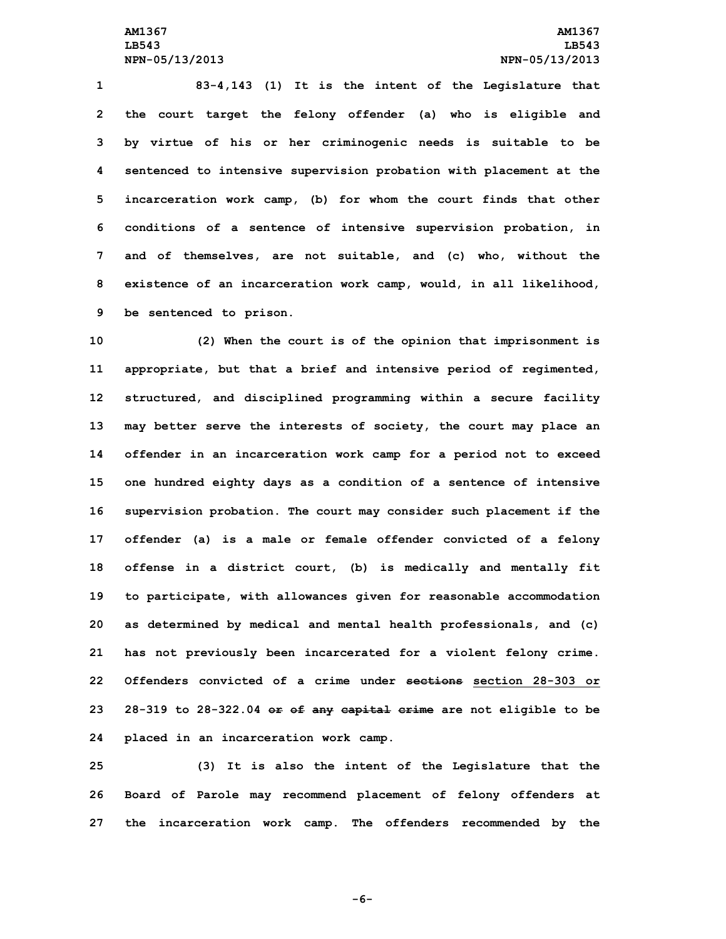**83-4,143 (1) It is the intent of the Legislature that the court target the felony offender (a) who is eligible and by virtue of his or her criminogenic needs is suitable to be sentenced to intensive supervision probation with placement at the incarceration work camp, (b) for whom the court finds that other conditions of <sup>a</sup> sentence of intensive supervision probation, in and of themselves, are not suitable, and (c) who, without the existence of an incarceration work camp, would, in all likelihood, be sentenced to prison.**

 **(2) When the court is of the opinion that imprisonment is appropriate, but that <sup>a</sup> brief and intensive period of regimented, structured, and disciplined programming within <sup>a</sup> secure facility may better serve the interests of society, the court may place an offender in an incarceration work camp for <sup>a</sup> period not to exceed one hundred eighty days as <sup>a</sup> condition of <sup>a</sup> sentence of intensive supervision probation. The court may consider such placement if the offender (a) is <sup>a</sup> male or female offender convicted of <sup>a</sup> felony offense in <sup>a</sup> district court, (b) is medically and mentally fit to participate, with allowances given for reasonable accommodation as determined by medical and mental health professionals, and (c) has not previously been incarcerated for <sup>a</sup> violent felony crime. Offenders convicted of a crime under sections section 28-303 or 28-319 to 28-322.04 or of any capital crime are not eligible to be placed in an incarceration work camp.**

**25 (3) It is also the intent of the Legislature that the 26 Board of Parole may recommend placement of felony offenders at 27 the incarceration work camp. The offenders recommended by the**

**-6-**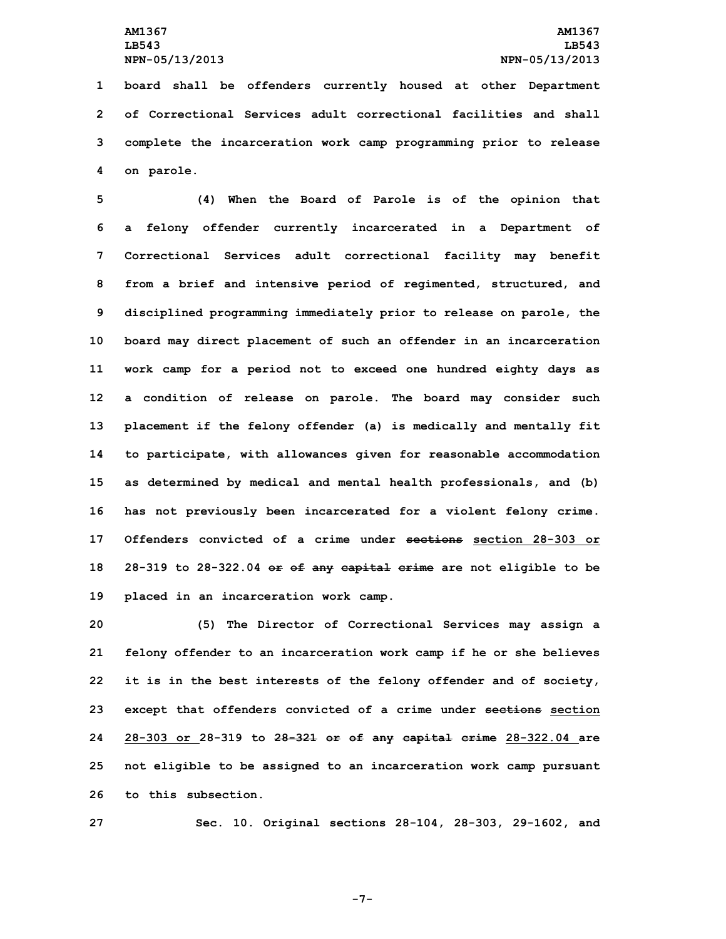**board shall be offenders currently housed at other Department of Correctional Services adult correctional facilities and shall complete the incarceration work camp programming prior to release on parole.**

 **(4) When the Board of Parole is of the opinion that <sup>a</sup> felony offender currently incarcerated in <sup>a</sup> Department of Correctional Services adult correctional facility may benefit from <sup>a</sup> brief and intensive period of regimented, structured, and disciplined programming immediately prior to release on parole, the board may direct placement of such an offender in an incarceration work camp for <sup>a</sup> period not to exceed one hundred eighty days as <sup>a</sup> condition of release on parole. The board may consider such placement if the felony offender (a) is medically and mentally fit to participate, with allowances given for reasonable accommodation as determined by medical and mental health professionals, and (b) has not previously been incarcerated for <sup>a</sup> violent felony crime. Offenders convicted of a crime under sections section 28-303 or 28-319 to 28-322.04 or of any capital crime are not eligible to be placed in an incarceration work camp.**

 **(5) The Director of Correctional Services may assign <sup>a</sup> felony offender to an incarceration work camp if he or she believes it is in the best interests of the felony offender and of society, except that offenders convicted of <sup>a</sup> crime under sections section 28-303 or 28-319 to 28-321 or of any capital crime 28-322.04 are not eligible to be assigned to an incarceration work camp pursuant to this subsection.**

**27 Sec. 10. Original sections 28-104, 28-303, 29-1602, and**

**-7-**